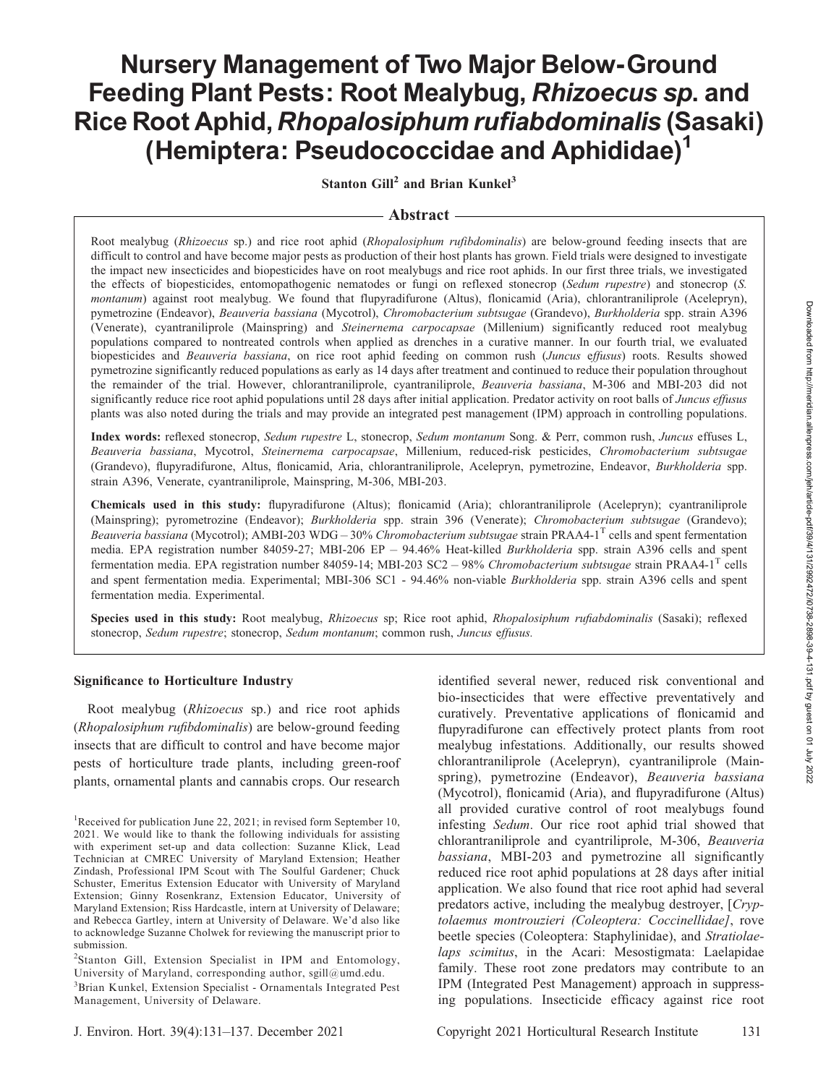# Nursery Management of Two Major Below-Ground Feeding Plant Pests: Root Mealybug, Rhizoecus sp. and Rice Root Aphid, Rhopalosiphum rufiabdominalis (Sasaki) (Hemiptera: Pseudococcidae and Aphididae)<sup>1</sup>

Stanton Gill<sup>2</sup> and Brian Kunkel<sup>3</sup>

## Abstract

Root mealybug (Rhizoecus sp.) and rice root aphid (Rhopalosiphum rufibdominalis) are below-ground feeding insects that are difficult to control and have become major pests as production of their host plants has grown. Field trials were designed to investigate the impact new insecticides and biopesticides have on root mealybugs and rice root aphids. In our first three trials, we investigated the effects of biopesticides, entomopathogenic nematodes or fungi on reflexed stonecrop (Sedum rupestre) and stonecrop (S. montanum) against root mealybug. We found that flupyradifurone (Altus), flonicamid (Aria), chlorantraniliprole (Acelepryn), pymetrozine (Endeavor), Beauveria bassiana (Mycotrol), Chromobacterium subtsugae (Grandevo), Burkholderia spp. strain A396 (Venerate), cyantraniliprole (Mainspring) and Steinernema carpocapsae (Millenium) significantly reduced root mealybug populations compared to nontreated controls when applied as drenches in a curative manner. In our fourth trial, we evaluated biopesticides and Beauveria bassiana, on rice root aphid feeding on common rush (Juncus effusus) roots. Results showed pymetrozine significantly reduced populations as early as 14 days after treatment and continued to reduce their population throughout the remainder of the trial. However, chlorantraniliprole, cyantraniliprole, Beauveria bassiana, M-306 and MBI-203 did not significantly reduce rice root aphid populations until 28 days after initial application. Predator activity on root balls of Juncus effusus plants was also noted during the trials and may provide an integrated pest management (IPM) approach in controlling populations.

Index words: reflexed stonecrop, Sedum rupestre L, stonecrop, Sedum montanum Song. & Perr, common rush, Juncus effuses L, Beauveria bassiana, Mycotrol, Steinernema carpocapsae, Millenium, reduced-risk pesticides, Chromobacterium subtsugae (Grandevo), flupyradifurone, Altus, flonicamid, Aria, chlorantraniliprole, Acelepryn, pymetrozine, Endeavor, Burkholderia spp. strain A396, Venerate, cyantraniliprole, Mainspring, M-306, MBI-203.

Chemicals used in this study: flupyradifurone (Altus); flonicamid (Aria); chlorantraniliprole (Acelepryn); cyantraniliprole (Mainspring); pyrometrozine (Endeavor); Burkholderia spp. strain 396 (Venerate); Chromobacterium subtsugae (Grandevo); Beauveria bassiana (Mycotrol); AMBI-203 WDG – 30% Chromobacterium subtsugae strain PRAA4-1<sup>T</sup> cells and spent fermentation media. EPA registration number 84059-27; MBI-206 EP - 94.46% Heat-killed Burkholderia spp. strain A396 cells and spent fermentation media. EPA registration number 84059-14; MBI-203 SC2 - 98% Chromobacterium subtsugae strain PRAA4-1<sup>T</sup> cells and spent fermentation media. Experimental; MBI-306 SC1 - 94.46% non-viable Burkholderia spp. strain A396 cells and spent fermentation media. Experimental.

Species used in this study: Root mealybug, Rhizoecus sp; Rice root aphid, Rhopalosiphum rufiabdominalis (Sasaki); reflexed stonecrop, Sedum rupestre; stonecrop, Sedum montanum; common rush, Juncus effusus.

#### Significance to Horticulture Industry

Root mealybug (Rhizoecus sp.) and rice root aphids (Rhopalosiphum rufibdominalis) are below-ground feeding insects that are difficult to control and have become major pests of horticulture trade plants, including green-roof plants, ornamental plants and cannabis crops. Our research

<sup>2</sup>Stanton Gill, Extension Specialist in IPM and Entomology, University of Maryland, corresponding author, sgill@umd.edu.

<sup>3</sup>Brian Kunkel, Extension Specialist - Ornamentals Integrated Pest Management, University of Delaware.

identified several newer, reduced risk conventional and bio-insecticides that were effective preventatively and curatively. Preventative applications of flonicamid and flupyradifurone can effectively protect plants from root mealybug infestations. Additionally, our results showed chlorantraniliprole (Acelepryn), cyantraniliprole (Mainspring), pymetrozine (Endeavor), Beauveria bassiana (Mycotrol), flonicamid (Aria), and flupyradifurone (Altus) all provided curative control of root mealybugs found infesting Sedum. Our rice root aphid trial showed that chlorantraniliprole and cyantriliprole, M-306, Beauveria bassiana, MBI-203 and pymetrozine all significantly reduced rice root aphid populations at 28 days after initial application. We also found that rice root aphid had several predators active, including the mealybug destroyer, [Cryptolaemus montrouzieri (Coleoptera: Coccinellidae], rove beetle species (Coleoptera: Staphylinidae), and Stratiolaelaps scimitus, in the Acari: Mesostigmata: Laelapidae family. These root zone predators may contribute to an IPM (Integrated Pest Management) approach in suppressing populations. Insecticide efficacy against rice root

<sup>&</sup>lt;sup>1</sup>Received for publication June 22, 2021; in revised form September 10, 2021. We would like to thank the following individuals for assisting with experiment set-up and data collection: Suzanne Klick, Lead Technician at CMREC University of Maryland Extension; Heather Zindash, Professional IPM Scout with The Soulful Gardener; Chuck Schuster, Emeritus Extension Educator with University of Maryland Extension; Ginny Rosenkranz, Extension Educator, University of Maryland Extension; Riss Hardcastle, intern at University of Delaware; and Rebecca Gartley, intern at University of Delaware. We'd also like to acknowledge Suzanne Cholwek for reviewing the manuscript prior to submission.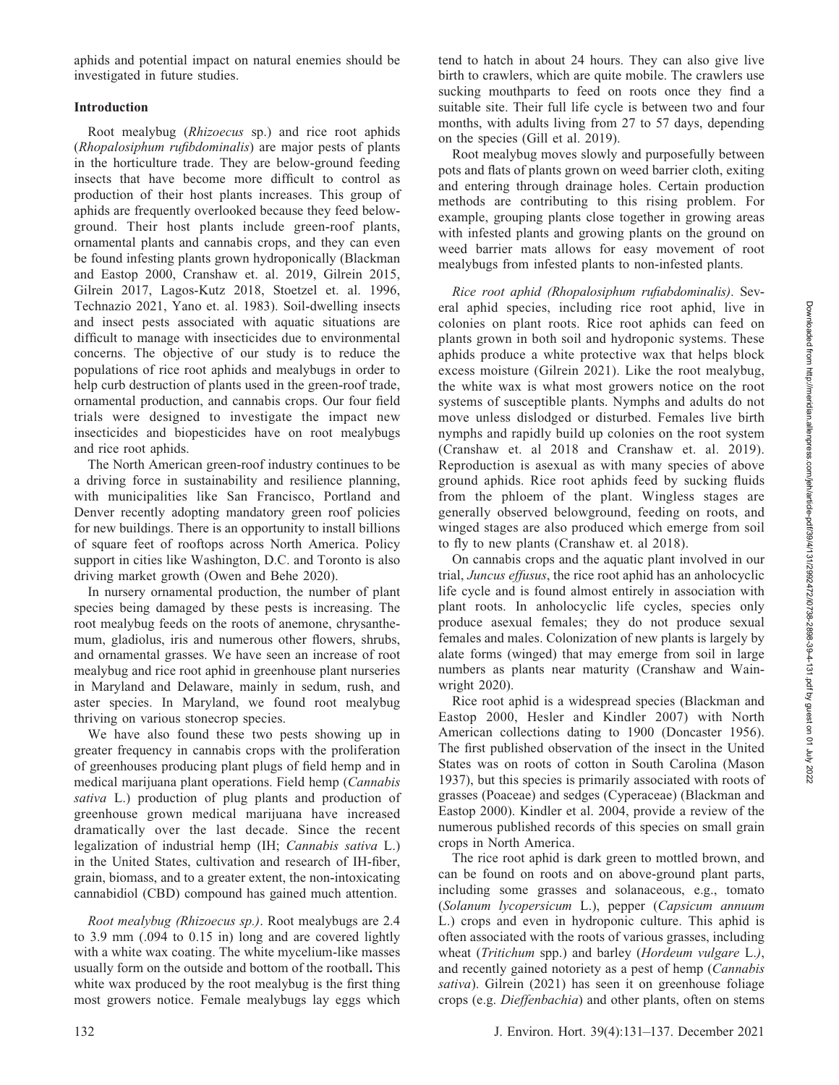Downloaded from http://meridian.allenpress.com/jeh/article-pdf/39/4/131/2992472/i0738-2898-39-4-131.pdf by guest on 01 July 2022

aphids and potential impact on natural enemies should be investigated in future studies.

## Introduction

Root mealybug (Rhizoecus sp.) and rice root aphids (Rhopalosiphum rufibdominalis) are major pests of plants in the horticulture trade. They are below-ground feeding insects that have become more difficult to control as production of their host plants increases. This group of aphids are frequently overlooked because they feed belowground. Their host plants include green-roof plants, ornamental plants and cannabis crops, and they can even be found infesting plants grown hydroponically (Blackman and Eastop 2000, Cranshaw et. al. 2019, Gilrein 2015, Gilrein 2017, Lagos-Kutz 2018, Stoetzel et. al. 1996, Technazio 2021, Yano et. al. 1983). Soil-dwelling insects and insect pests associated with aquatic situations are difficult to manage with insecticides due to environmental concerns. The objective of our study is to reduce the populations of rice root aphids and mealybugs in order to help curb destruction of plants used in the green-roof trade, ornamental production, and cannabis crops. Our four field trials were designed to investigate the impact new insecticides and biopesticides have on root mealybugs and rice root aphids.

The North American green-roof industry continues to be a driving force in sustainability and resilience planning, with municipalities like San Francisco, Portland and Denver recently adopting mandatory green roof policies for new buildings. There is an opportunity to install billions of square feet of rooftops across North America. Policy support in cities like Washington, D.C. and Toronto is also driving market growth (Owen and Behe 2020).

In nursery ornamental production, the number of plant species being damaged by these pests is increasing. The root mealybug feeds on the roots of anemone, chrysanthemum, gladiolus, iris and numerous other flowers, shrubs, and ornamental grasses. We have seen an increase of root mealybug and rice root aphid in greenhouse plant nurseries in Maryland and Delaware, mainly in sedum, rush, and aster species. In Maryland, we found root mealybug thriving on various stonecrop species.

We have also found these two pests showing up in greater frequency in cannabis crops with the proliferation of greenhouses producing plant plugs of field hemp and in medical marijuana plant operations. Field hemp (Cannabis sativa L.) production of plug plants and production of greenhouse grown medical marijuana have increased dramatically over the last decade. Since the recent legalization of industrial hemp (IH; Cannabis sativa L.) in the United States, cultivation and research of IH-fiber, grain, biomass, and to a greater extent, the non-intoxicating cannabidiol (CBD) compound has gained much attention.

Root mealybug (Rhizoecus sp.). Root mealybugs are 2.4 to 3.9 mm (.094 to 0.15 in) long and are covered lightly with a white wax coating. The white mycelium-like masses usually form on the outside and bottom of the rootball. This white wax produced by the root mealybug is the first thing most growers notice. Female mealybugs lay eggs which tend to hatch in about 24 hours. They can also give live birth to crawlers, which are quite mobile. The crawlers use sucking mouthparts to feed on roots once they find a suitable site. Their full life cycle is between two and four months, with adults living from 27 to 57 days, depending on the species (Gill et al. 2019).

Root mealybug moves slowly and purposefully between pots and flats of plants grown on weed barrier cloth, exiting and entering through drainage holes. Certain production methods are contributing to this rising problem. For example, grouping plants close together in growing areas with infested plants and growing plants on the ground on weed barrier mats allows for easy movement of root mealybugs from infested plants to non-infested plants.

Rice root aphid (Rhopalosiphum rufiabdominalis). Several aphid species, including rice root aphid, live in colonies on plant roots. Rice root aphids can feed on plants grown in both soil and hydroponic systems. These aphids produce a white protective wax that helps block excess moisture (Gilrein 2021). Like the root mealybug, the white wax is what most growers notice on the root systems of susceptible plants. Nymphs and adults do not move unless dislodged or disturbed. Females live birth nymphs and rapidly build up colonies on the root system (Cranshaw et. al 2018 and Cranshaw et. al. 2019). Reproduction is asexual as with many species of above ground aphids. Rice root aphids feed by sucking fluids from the phloem of the plant. Wingless stages are generally observed belowground, feeding on roots, and winged stages are also produced which emerge from soil to fly to new plants (Cranshaw et. al 2018).

On cannabis crops and the aquatic plant involved in our trial, Juncus effusus, the rice root aphid has an anholocyclic life cycle and is found almost entirely in association with plant roots. In anholocyclic life cycles, species only produce asexual females; they do not produce sexual females and males. Colonization of new plants is largely by alate forms (winged) that may emerge from soil in large numbers as plants near maturity (Cranshaw and Wainwright 2020).

Rice root aphid is a widespread species (Blackman and Eastop 2000, Hesler and Kindler 2007) with North American collections dating to 1900 (Doncaster 1956). The first published observation of the insect in the United States was on roots of cotton in South Carolina (Mason 1937), but this species is primarily associated with roots of grasses (Poaceae) and sedges (Cyperaceae) (Blackman and Eastop 2000). Kindler et al. 2004, provide a review of the numerous published records of this species on small grain crops in North America.

The rice root aphid is dark green to mottled brown, and can be found on roots and on above-ground plant parts, including some grasses and solanaceous, e.g., tomato (Solanum lycopersicum L.), pepper (Capsicum annuum L.) crops and even in hydroponic culture. This aphid is often associated with the roots of various grasses, including wheat (*Tritichum* spp.) and barley (*Hordeum vulgare L.*), and recently gained notoriety as a pest of hemp (Cannabis sativa). Gilrein (2021) has seen it on greenhouse foliage crops (e.g. Dieffenbachia) and other plants, often on stems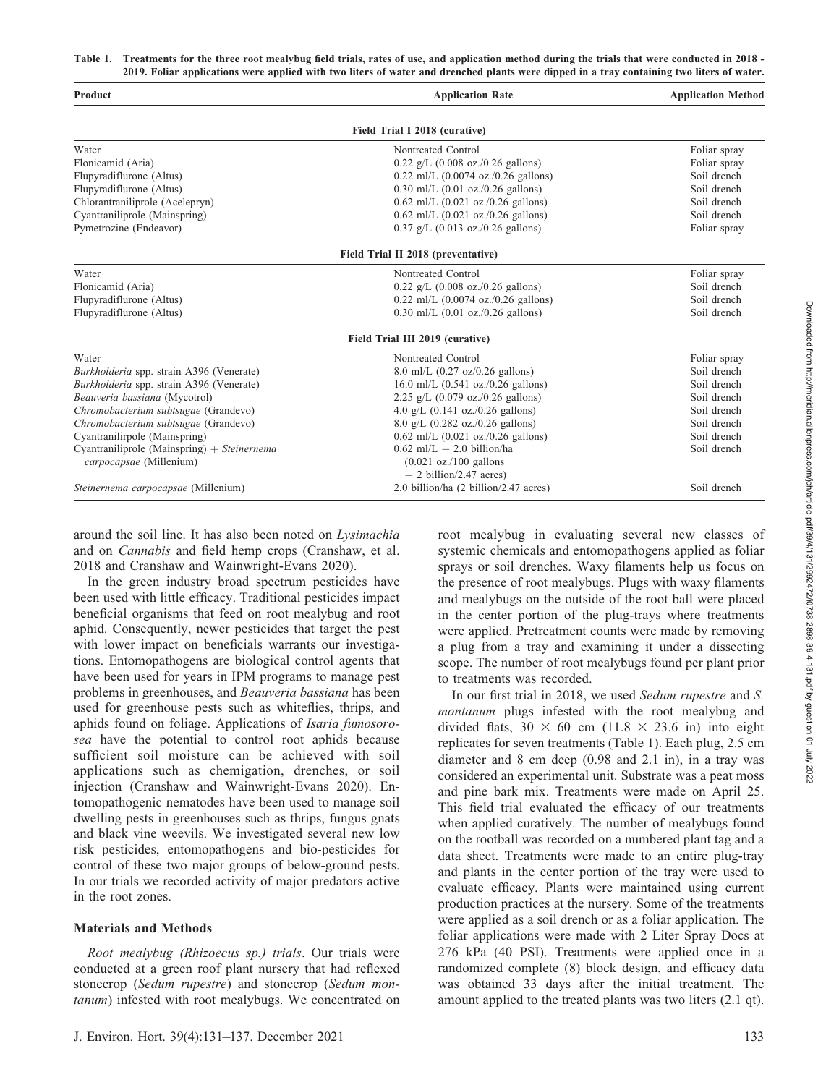Table 1. Treatments for the three root mealybug field trials, rates of use, and application method during the trials that were conducted in 2018 - 2019. Foliar applications were applied with two liters of water and drenched plants were dipped in a tray containing two liters of water.

| Product                                       | <b>Application Rate</b>                              | <b>Application Method</b> |
|-----------------------------------------------|------------------------------------------------------|---------------------------|
|                                               | Field Trial I 2018 (curative)                        |                           |
| Water                                         | Nontreated Control                                   | Foliar spray              |
| Flonicamid (Aria)                             | $0.22$ g/L $(0.008$ oz./0.26 gallons)                | Foliar spray              |
| Flupyradiflurone (Altus)                      | $0.22$ ml/L $(0.0074$ oz./0.26 gallons)              | Soil drench               |
| Flupyradiflurone (Altus)                      | $0.30$ ml/L $(0.01$ oz./0.26 gallons)                | Soil drench               |
| Chlorantraniliprole (Acelepryn)               | $0.62$ ml/L $(0.021$ oz./0.26 gallons)               | Soil drench               |
| Cyantraniliprole (Mainspring)                 | $0.62$ ml/L $(0.021$ oz./0.26 gallons)               | Soil drench               |
| Pymetrozine (Endeavor)                        | $0.37$ g/L $(0.013$ oz./0.26 gallons)                | Foliar spray              |
|                                               | Field Trial II 2018 (preventative)                   |                           |
| Water                                         | Nontreated Control                                   | Foliar spray              |
| Flonicamid (Aria)                             | $0.22$ g/L $(0.008$ oz./0.26 gallons)                | Soil drench               |
| Flupyradiflurone (Altus)                      | $0.22$ ml/L $(0.0074$ oz./0.26 gallons)              | Soil drench               |
| Flupyradiflurone (Altus)                      | $0.30$ ml/L $(0.01$ oz./0.26 gallons)                | Soil drench               |
|                                               | Field Trial III 2019 (curative)                      |                           |
| Water                                         | Nontreated Control                                   | Foliar spray              |
| Burkholderia spp. strain A396 (Venerate)      | $8.0$ ml/L $(0.27 \text{ oz}/0.26 \text{ gallons})$  | Soil drench               |
| Burkholderia spp. strain A396 (Venerate)      | 16.0 ml/L $(0.541 \text{ oz.}/0.26 \text{ gallons})$ | Soil drench               |
| Beauveria bassiana (Mycotrol)                 | 2.25 g/L $(0.079 \text{ oz.}/0.26 \text{ gallons})$  | Soil drench               |
| Chromobacterium subtsugae (Grandevo)          | 4.0 g/L $(0.141 \text{ oz.}/0.26 \text{ gallons})$   | Soil drench               |
| Chromobacterium subtsugae (Grandevo)          | $8.0 \text{ g/L}$ (0.282 oz./0.26 gallons)           | Soil drench               |
| Cyantranilirpole (Mainspring)                 | $0.62$ ml/L $(0.021$ oz./0.26 gallons)               | Soil drench               |
| Cyantraniliprole (Mainspring) $+$ Steinernema | $0.62$ ml/L + 2.0 billion/ha                         | Soil drench               |
| carpocapsae (Millenium)                       | $(0.021 \text{ oz.}/100 \text{ gallons})$            |                           |
|                                               | $+2$ billion/2.47 acres)                             |                           |
| Steinernema carpocapsae (Millenium)           | 2.0 billion/ha (2 billion/2.47 acres)                | Soil drench               |

around the soil line. It has also been noted on Lysimachia and on Cannabis and field hemp crops (Cranshaw, et al. 2018 and Cranshaw and Wainwright-Evans 2020).

In the green industry broad spectrum pesticides have been used with little efficacy. Traditional pesticides impact beneficial organisms that feed on root mealybug and root aphid. Consequently, newer pesticides that target the pest with lower impact on beneficials warrants our investigations. Entomopathogens are biological control agents that have been used for years in IPM programs to manage pest problems in greenhouses, and Beauveria bassiana has been used for greenhouse pests such as whiteflies, thrips, and aphids found on foliage. Applications of Isaria fumosorosea have the potential to control root aphids because sufficient soil moisture can be achieved with soil applications such as chemigation, drenches, or soil injection (Cranshaw and Wainwright-Evans 2020). Entomopathogenic nematodes have been used to manage soil dwelling pests in greenhouses such as thrips, fungus gnats and black vine weevils. We investigated several new low risk pesticides, entomopathogens and bio-pesticides for control of these two major groups of below-ground pests. In our trials we recorded activity of major predators active in the root zones.

## Materials and Methods

Root mealybug (Rhizoecus sp.) trials. Our trials were conducted at a green roof plant nursery that had reflexed stonecrop (Sedum rupestre) and stonecrop (Sedum montanum) infested with root mealybugs. We concentrated on

root mealybug in evaluating several new classes of systemic chemicals and entomopathogens applied as foliar sprays or soil drenches. Waxy filaments help us focus on the presence of root mealybugs. Plugs with waxy filaments and mealybugs on the outside of the root ball were placed in the center portion of the plug-trays where treatments were applied. Pretreatment counts were made by removing a plug from a tray and examining it under a dissecting scope. The number of root mealybugs found per plant prior to treatments was recorded.

In our first trial in 2018, we used Sedum rupestre and S. montanum plugs infested with the root mealybug and divided flats,  $30 \times 60$  cm (11.8  $\times$  23.6 in) into eight replicates for seven treatments (Table 1). Each plug, 2.5 cm diameter and 8 cm deep (0.98 and 2.1 in), in a tray was considered an experimental unit. Substrate was a peat moss and pine bark mix. Treatments were made on April 25. This field trial evaluated the efficacy of our treatments when applied curatively. The number of mealybugs found on the rootball was recorded on a numbered plant tag and a data sheet. Treatments were made to an entire plug-tray and plants in the center portion of the tray were used to evaluate efficacy. Plants were maintained using current production practices at the nursery. Some of the treatments were applied as a soil drench or as a foliar application. The foliar applications were made with 2 Liter Spray Docs at 276 kPa (40 PSI). Treatments were applied once in a randomized complete (8) block design, and efficacy data was obtained 33 days after the initial treatment. The amount applied to the treated plants was two liters (2.1 qt).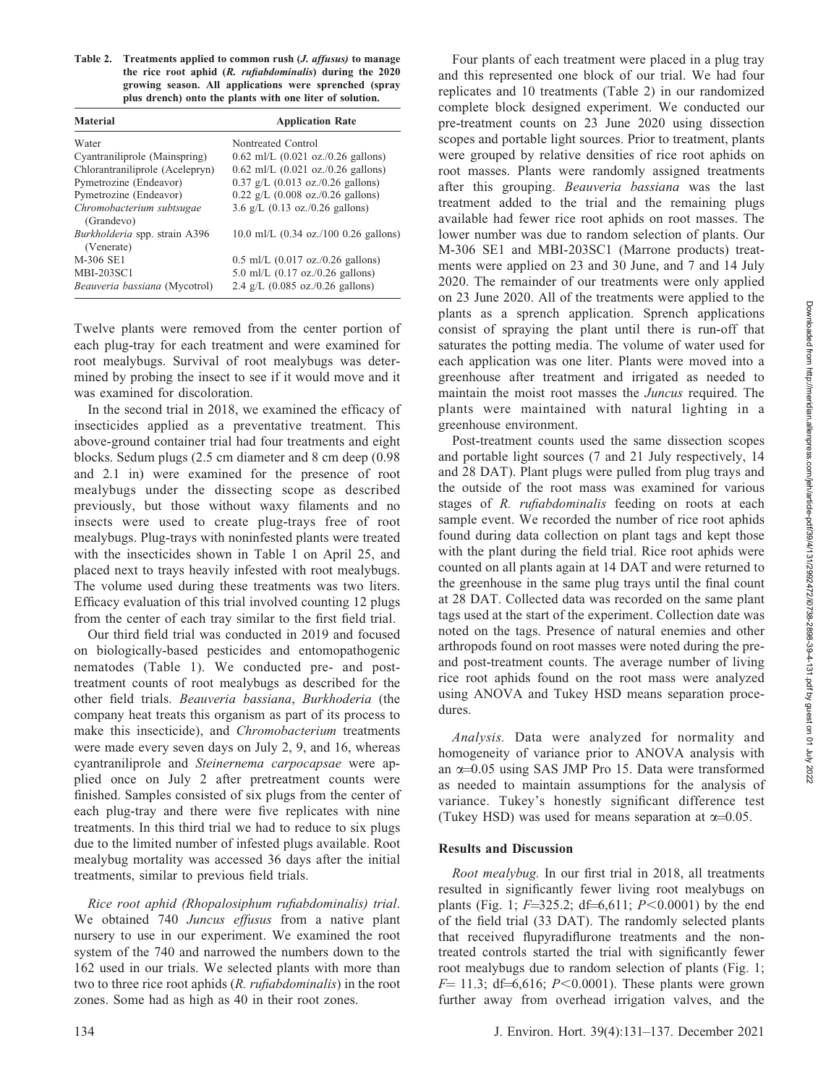Table 2. Treatments applied to common rush (J. affusus) to manage the rice root aphid (R. rufiabdominalis) during the 2020 growing season. All applications were sprenched (spray plus drench) onto the plants with one liter of solution.

| <b>Material</b>                             | <b>Application Rate</b>                               |
|---------------------------------------------|-------------------------------------------------------|
| Water                                       | Nontreated Control                                    |
| Cyantraniliprole (Mainspring)               | $0.62$ ml/L $(0.021$ oz./0.26 gallons)                |
| Chlorantraniliprole (Acelepryn)             | $0.62$ ml/L $(0.021$ oz./0.26 gallons)                |
| Pymetrozine (Endeavor)                      | $0.37$ g/L $(0.013$ oz./0.26 gallons)                 |
| Pymetrozine (Endeavor)                      | $0.22$ g/L $(0.008$ oz./0.26 gallons)                 |
| Chromobacterium subtsugae<br>(Grandevo)     | 3.6 g/L $(0.13 \text{ oz.}/0.26 \text{ gallons})$     |
| Burkholderia spp. strain A396<br>(Venerate) | $10.0$ ml/L $(0.34$ oz./100 0.26 gallons)             |
| M-306 SE1                                   | $0.5$ ml/L $(0.017 \text{ oz.}/0.26 \text{ gallons})$ |
| <b>MBI-203SC1</b>                           | 5.0 ml/L $(0.17 \text{ oz.}/0.26 \text{ gallons})$    |
| Beauveria bassiana (Mycotrol)               | 2.4 g/L $(0.085 \text{ oz.}/0.26 \text{ gallons})$    |

Twelve plants were removed from the center portion of each plug-tray for each treatment and were examined for root mealybugs. Survival of root mealybugs was determined by probing the insect to see if it would move and it was examined for discoloration.

In the second trial in 2018, we examined the efficacy of insecticides applied as a preventative treatment. This above-ground container trial had four treatments and eight blocks. Sedum plugs (2.5 cm diameter and 8 cm deep (0.98 and 2.1 in) were examined for the presence of root mealybugs under the dissecting scope as described previously, but those without waxy filaments and no insects were used to create plug-trays free of root mealybugs. Plug-trays with noninfested plants were treated with the insecticides shown in Table 1 on April 25, and placed next to trays heavily infested with root mealybugs. The volume used during these treatments was two liters. Efficacy evaluation of this trial involved counting 12 plugs from the center of each tray similar to the first field trial.

Our third field trial was conducted in 2019 and focused on biologically-based pesticides and entomopathogenic nematodes (Table 1). We conducted pre- and posttreatment counts of root mealybugs as described for the other field trials. Beauveria bassiana, Burkhoderia (the company heat treats this organism as part of its process to make this insecticide), and Chromobacterium treatments were made every seven days on July 2, 9, and 16, whereas cyantraniliprole and Steinernema carpocapsae were applied once on July 2 after pretreatment counts were finished. Samples consisted of six plugs from the center of each plug-tray and there were five replicates with nine treatments. In this third trial we had to reduce to six plugs due to the limited number of infested plugs available. Root mealybug mortality was accessed 36 days after the initial treatments, similar to previous field trials.

Rice root aphid (Rhopalosiphum rufiabdominalis) trial. We obtained 740 Juncus effusus from a native plant nursery to use in our experiment. We examined the root system of the 740 and narrowed the numbers down to the 162 used in our trials. We selected plants with more than two to three rice root aphids (R. rufiabdominalis) in the root zones. Some had as high as 40 in their root zones.

Four plants of each treatment were placed in a plug tray and this represented one block of our trial. We had four replicates and 10 treatments (Table 2) in our randomized complete block designed experiment. We conducted our pre-treatment counts on 23 June 2020 using dissection scopes and portable light sources. Prior to treatment, plants were grouped by relative densities of rice root aphids on root masses. Plants were randomly assigned treatments after this grouping. Beauveria bassiana was the last treatment added to the trial and the remaining plugs available had fewer rice root aphids on root masses. The lower number was due to random selection of plants. Our M-306 SE1 and MBI-203SC1 (Marrone products) treatments were applied on 23 and 30 June, and 7 and 14 July 2020. The remainder of our treatments were only applied on 23 June 2020. All of the treatments were applied to the plants as a sprench application. Sprench applications consist of spraying the plant until there is run-off that saturates the potting media. The volume of water used for each application was one liter. Plants were moved into a greenhouse after treatment and irrigated as needed to maintain the moist root masses the Juncus required. The plants were maintained with natural lighting in a greenhouse environment.

Post-treatment counts used the same dissection scopes and portable light sources (7 and 21 July respectively, 14 and 28 DAT). Plant plugs were pulled from plug trays and the outside of the root mass was examined for various stages of R. rufiabdominalis feeding on roots at each sample event. We recorded the number of rice root aphids found during data collection on plant tags and kept those with the plant during the field trial. Rice root aphids were counted on all plants again at 14 DAT and were returned to the greenhouse in the same plug trays until the final count at 28 DAT. Collected data was recorded on the same plant tags used at the start of the experiment. Collection date was noted on the tags. Presence of natural enemies and other arthropods found on root masses were noted during the preand post-treatment counts. The average number of living rice root aphids found on the root mass were analyzed using ANOVA and Tukey HSD means separation procedures.

Analysis. Data were analyzed for normality and homogeneity of variance prior to ANOVA analysis with an  $\alpha$ =0.05 using SAS JMP Pro 15. Data were transformed as needed to maintain assumptions for the analysis of variance. Tukey's honestly significant difference test (Tukey HSD) was used for means separation at  $\alpha$ =0.05.

# Results and Discussion

Root mealybug. In our first trial in 2018, all treatments resulted in significantly fewer living root mealybugs on plants (Fig. 1;  $F=325.2$ ; df=6,611;  $P<0.0001$ ) by the end of the field trial (33 DAT). The randomly selected plants that received flupyradiflurone treatments and the nontreated controls started the trial with significantly fewer root mealybugs due to random selection of plants (Fig. 1;  $F= 11.3$ ; df=6,616; P<0.0001). These plants were grown further away from overhead irrigation valves, and the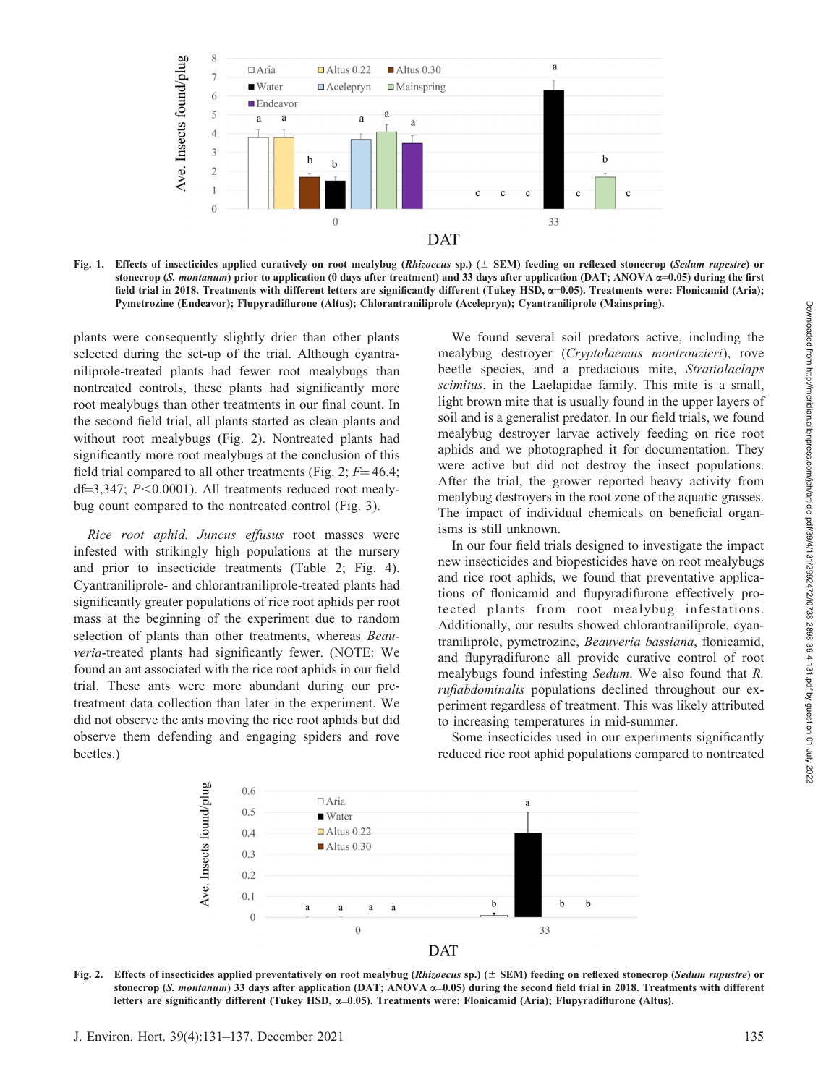

Fig. 1. Effects of insecticides applied curatively on root mealybug (Rhizoecus sp.) ( $\pm$  SEM) feeding on reflexed stonecrop (Sedum rupestre) or stonecrop (S. montanum) prior to application (0 days after treatment) and 33 days after application (DAT; ANOVA  $\alpha$ =0.05) during the first field trial in 2018. Treatments with different letters are significantly different (Tukey HSD,  $\alpha$ =0.05). Treatments were: Flonicamid (Aria); Pymetrozine (Endeavor); Flupyradiflurone (Altus); Chlorantraniliprole (Acelepryn); Cyantraniliprole (Mainspring).

plants were consequently slightly drier than other plants selected during the set-up of the trial. Although cyantraniliprole-treated plants had fewer root mealybugs than nontreated controls, these plants had significantly more root mealybugs than other treatments in our final count. In the second field trial, all plants started as clean plants and without root mealybugs (Fig. 2). Nontreated plants had significantly more root mealybugs at the conclusion of this field trial compared to all other treatments (Fig. 2;  $F=46.4$ ; df=3,347;  $P<0.0001$ ). All treatments reduced root mealybug count compared to the nontreated control (Fig. 3).

Rice root aphid. Juncus effusus root masses were infested with strikingly high populations at the nursery and prior to insecticide treatments (Table 2; Fig. 4). Cyantraniliprole- and chlorantraniliprole-treated plants had significantly greater populations of rice root aphids per root mass at the beginning of the experiment due to random selection of plants than other treatments, whereas *Beau*veria-treated plants had significantly fewer. (NOTE: We found an ant associated with the rice root aphids in our field trial. These ants were more abundant during our pretreatment data collection than later in the experiment. We did not observe the ants moving the rice root aphids but did observe them defending and engaging spiders and rove beetles.)

We found several soil predators active, including the mealybug destroyer (Cryptolaemus montrouzieri), rove beetle species, and a predacious mite, Stratiolaelaps scimitus, in the Laelapidae family. This mite is a small, light brown mite that is usually found in the upper layers of soil and is a generalist predator. In our field trials, we found mealybug destroyer larvae actively feeding on rice root aphids and we photographed it for documentation. They were active but did not destroy the insect populations. After the trial, the grower reported heavy activity from mealybug destroyers in the root zone of the aquatic grasses. The impact of individual chemicals on beneficial organisms is still unknown.

In our four field trials designed to investigate the impact new insecticides and biopesticides have on root mealybugs and rice root aphids, we found that preventative applications of flonicamid and flupyradifurone effectively protected plants from root mealybug infestations. Additionally, our results showed chlorantraniliprole, cyantraniliprole, pymetrozine, Beauveria bassiana, flonicamid, and flupyradifurone all provide curative control of root mealybugs found infesting Sedum. We also found that R. rufiabdominalis populations declined throughout our experiment regardless of treatment. This was likely attributed to increasing temperatures in mid-summer.

Some insecticides used in our experiments significantly reduced rice root aphid populations compared to nontreated



Fig. 2. Effects of insecticides applied preventatively on root mealybug (Rhizoecus sp.)  $(\pm$  SEM) feeding on reflexed stonecrop (Sedum rupustre) or stonecrop (S. montanum) 33 days after application (DAT; ANOVA  $\alpha$ =0.05) during the second field trial in 2018. Treatments with different letters are significantly different (Tukey HSD,  $\alpha$ =0.05). Treatments were: Flonicamid (Aria); Flupyradiflurone (Altus).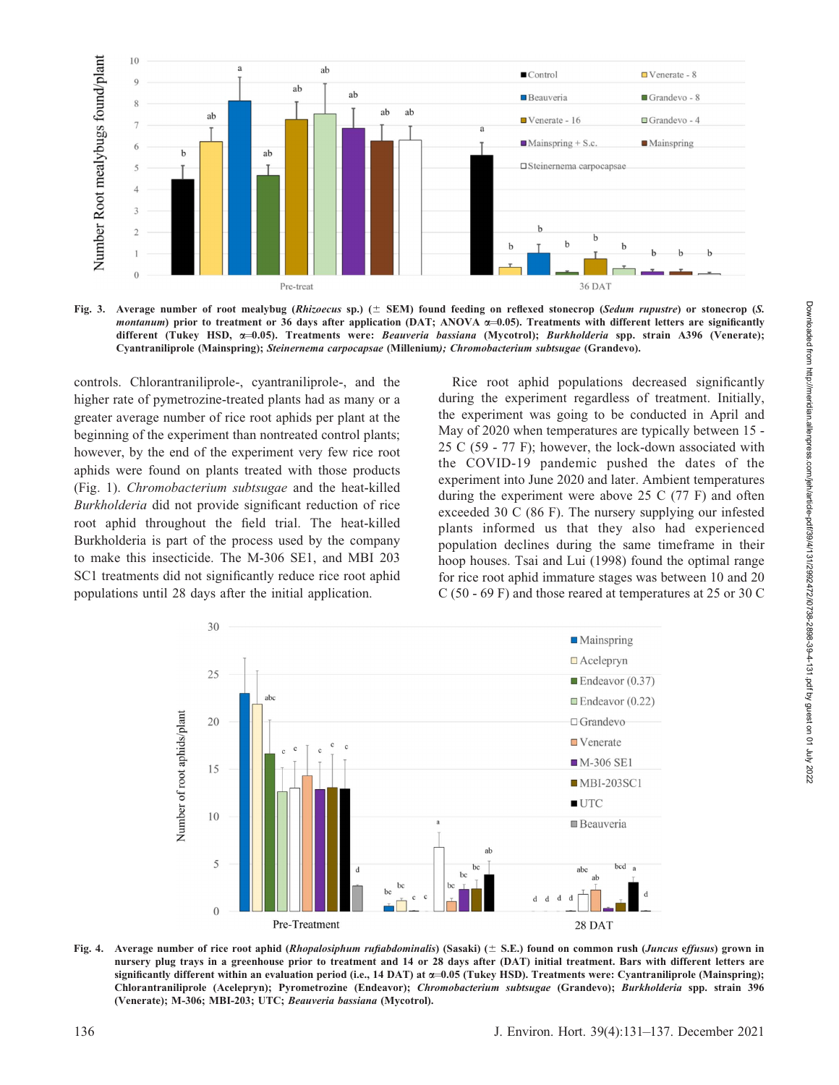

Fig. 3. Average number of root mealybug (Rhizoecus sp.)  $(±$  SEM) found feeding on reflexed stonecrop (Sedum rupustre) or stonecrop (S. montanum) prior to treatment or 36 days after application (DAT; ANOVA  $\alpha$ =0.05). Treatments with different letters are significantly different (Tukey HSD, x=0.05). Treatments were: Beauveria bassiana (Mycotrol); Burkholderia spp. strain A396 (Venerate); Cyantraniliprole (Mainspring); Steinernema carpocapsae (Millenium); Chromobacterium subtsugae (Grandevo).

controls. Chlorantraniliprole-, cyantraniliprole-, and the higher rate of pymetrozine-treated plants had as many or a greater average number of rice root aphids per plant at the beginning of the experiment than nontreated control plants; however, by the end of the experiment very few rice root aphids were found on plants treated with those products (Fig. 1). Chromobacterium subtsugae and the heat-killed Burkholderia did not provide significant reduction of rice root aphid throughout the field trial. The heat-killed Burkholderia is part of the process used by the company to make this insecticide. The M-306 SE1, and MBI 203 SC1 treatments did not significantly reduce rice root aphid populations until 28 days after the initial application.

Rice root aphid populations decreased significantly during the experiment regardless of treatment. Initially, the experiment was going to be conducted in April and May of 2020 when temperatures are typically between 15 - 25 C (59 - 77 F); however, the lock-down associated with the COVID-19 pandemic pushed the dates of the experiment into June 2020 and later. Ambient temperatures during the experiment were above 25 C (77 F) and often exceeded 30 C (86 F). The nursery supplying our infested plants informed us that they also had experienced population declines during the same timeframe in their hoop houses. Tsai and Lui (1998) found the optimal range for rice root aphid immature stages was between 10 and 20 C (50 - 69 F) and those reared at temperatures at 25 or 30 C



Fig. 4. Average number of rice root aphid (Rhopalosiphum rufiabdominalis) (Sasaki) ( $\pm$  S.E.) found on common rush (Juncus effusus) grown in nursery plug trays in a greenhouse prior to treatment and 14 or 28 days after (DAT) initial treatment. Bars with different letters are significantly different within an evaluation period (i.e., 14 DAT) at  $\alpha$ =0.05 (Tukey HSD). Treatments were: Cyantraniliprole (Mainspring); Chlorantraniliprole (Acelepryn); Pyrometrozine (Endeavor); Chromobacterium subtsugae (Grandevo); Burkholderia spp. strain 396 (Venerate); M-306; MBI-203; UTC; Beauveria bassiana (Mycotrol).